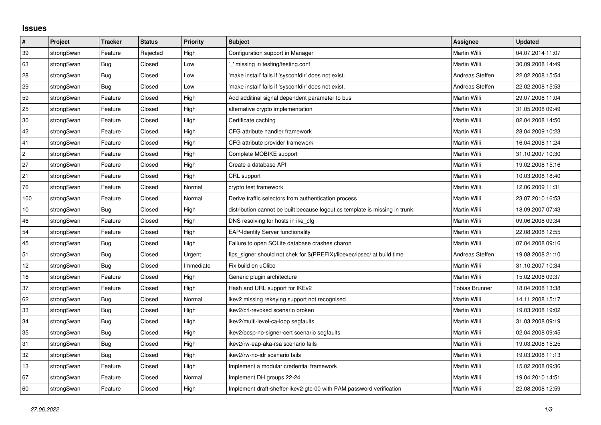## **Issues**

| $\pmb{\#}$     | Project    | <b>Tracker</b> | <b>Status</b> | Priority  | <b>Subject</b>                                                              | <b>Assignee</b>       | <b>Updated</b>   |
|----------------|------------|----------------|---------------|-----------|-----------------------------------------------------------------------------|-----------------------|------------------|
| 39             | strongSwan | Feature        | Rejected      | High      | Configuration support in Manager                                            | Martin Willi          | 04.07.2014 11:07 |
| 63             | strongSwan | Bug            | Closed        | Low       | missing in testing/testing.conf                                             | Martin Willi          | 30.09.2008 14:49 |
| 28             | strongSwan | Bug            | Closed        | Low       | 'make install' fails if 'sysconfdir' does not exist.                        | Andreas Steffen       | 22.02.2008 15:54 |
| 29             | strongSwan | Bug            | Closed        | Low       | 'make install' fails if 'sysconfdir' does not exist.                        | Andreas Steffen       | 22.02.2008 15:53 |
| 59             | strongSwan | Feature        | Closed        | High      | Add additinal signal dependent parameter to bus                             | Martin Willi          | 29.07.2008 11:04 |
| 25             | strongSwan | Feature        | Closed        | High      | alternative crypto implementation                                           | Martin Willi          | 31.05.2008 09:49 |
| 30             | strongSwan | Feature        | Closed        | High      | Certificate caching                                                         | Martin Willi          | 02.04.2008 14:50 |
| 42             | strongSwan | Feature        | Closed        | High      | CFG attribute handler framework                                             | Martin Willi          | 28.04.2009 10:23 |
| 41             | strongSwan | Feature        | Closed        | High      | CFG attribute provider framework                                            | Martin Willi          | 16.04.2008 11:24 |
| $\overline{c}$ | strongSwan | Feature        | Closed        | High      | Complete MOBIKE support                                                     | Martin Willi          | 31.10.2007 10:30 |
| 27             | strongSwan | Feature        | Closed        | High      | Create a database API                                                       | Martin Willi          | 19.02.2008 15:16 |
| 21             | strongSwan | Feature        | Closed        | High      | CRL support                                                                 | Martin Willi          | 10.03.2008 18:40 |
| 76             | strongSwan | Feature        | Closed        | Normal    | crypto test framework                                                       | Martin Willi          | 12.06.2009 11:31 |
| 100            | strongSwan | Feature        | Closed        | Normal    | Derive traffic selectors from authentication process                        | Martin Willi          | 23.07.2010 16:53 |
| $10$           | strongSwan | Bug            | Closed        | High      | distribution cannot be built because logout.cs template is missing in trunk | Martin Willi          | 18.09.2007 07:43 |
| 46             | strongSwan | Feature        | Closed        | High      | DNS resolving for hosts in ike_cfg                                          | Martin Willi          | 09.06.2008 09:34 |
| 54             | strongSwan | Feature        | Closed        | High      | <b>EAP-Identity Server functionality</b>                                    | Martin Willi          | 22.08.2008 12:55 |
| 45             | strongSwan | Bug            | Closed        | High      | Failure to open SQLite database crashes charon                              | Martin Willi          | 07.04.2008 09:16 |
| 51             | strongSwan | <b>Bug</b>     | Closed        | Urgent    | fips signer should not chek for \$(PREFIX)/libexec/ipsec/ at build time     | Andreas Steffen       | 19.08.2008 21:10 |
| 12             | strongSwan | Bug            | Closed        | Immediate | Fix build on uClibc                                                         | Martin Willi          | 31.10.2007 10:34 |
| $16\,$         | strongSwan | Feature        | Closed        | High      | Generic plugin architecture                                                 | Martin Willi          | 15.02.2008 09:37 |
| 37             | strongSwan | Feature        | Closed        | High      | Hash and URL support for IKEv2                                              | <b>Tobias Brunner</b> | 18.04.2008 13:38 |
| 62             | strongSwan | <b>Bug</b>     | Closed        | Normal    | ikev2 missing rekeying support not recognised                               | Martin Willi          | 14.11.2008 15:17 |
| 33             | strongSwan | Bug            | Closed        | High      | ikev2/crl-revoked scenario broken                                           | Martin Willi          | 19.03.2008 19:02 |
| 34             | strongSwan | Bug            | Closed        | High      | ikev2/multi-level-ca-loop segfaults                                         | Martin Willi          | 31.03.2008 09:19 |
| 35             | strongSwan | Bug            | Closed        | High      | ikev2/ocsp-no-signer-cert scenario segfaults                                | Martin Willi          | 02.04.2008 09:45 |
| 31             | strongSwan | Bug            | Closed        | High      | ikev2/rw-eap-aka-rsa scenario fails                                         | Martin Willi          | 19.03.2008 15:25 |
| 32             | strongSwan | <b>Bug</b>     | Closed        | High      | ikev2/rw-no-idr scenario fails                                              | Martin Willi          | 19.03.2008 11:13 |
| 13             | strongSwan | Feature        | Closed        | High      | Implement a modular credential framework                                    | Martin Willi          | 15.02.2008 09:36 |
| 67             | strongSwan | Feature        | Closed        | Normal    | Implement DH groups 22-24                                                   | Martin Willi          | 19.04.2010 14:51 |
| 60             | strongSwan | Feature        | Closed        | High      | Implement draft-sheffer-ikev2-gtc-00 with PAM password verification         | Martin Willi          | 22.08.2008 12:59 |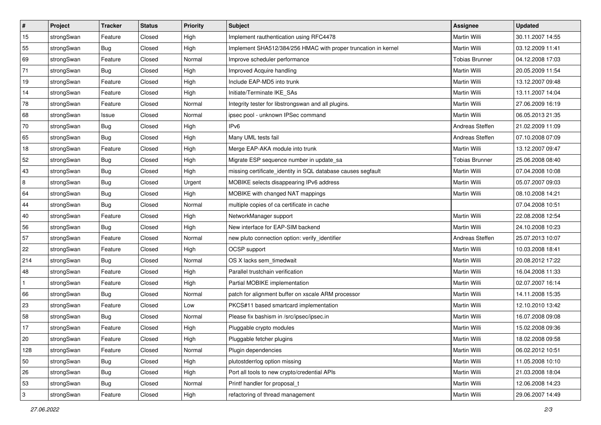| ∦            | Project    | <b>Tracker</b> | <b>Status</b> | <b>Priority</b> | <b>Subject</b>                                                 | Assignee              | <b>Updated</b>   |
|--------------|------------|----------------|---------------|-----------------|----------------------------------------------------------------|-----------------------|------------------|
| 15           | strongSwan | Feature        | Closed        | High            | Implement rauthentication using RFC4478                        | Martin Willi          | 30.11.2007 14:55 |
| 55           | strongSwan | <b>Bug</b>     | Closed        | High            | Implement SHA512/384/256 HMAC with proper truncation in kernel | Martin Willi          | 03.12.2009 11:41 |
| 69           | strongSwan | Feature        | Closed        | Normal          | Improve scheduler performance                                  | <b>Tobias Brunner</b> | 04.12.2008 17:03 |
| 71           | strongSwan | Bug            | Closed        | High            | Improved Acquire handling                                      | Martin Willi          | 20.05.2009 11:54 |
| 19           | strongSwan | Feature        | Closed        | High            | Include EAP-MD5 into trunk                                     | <b>Martin Willi</b>   | 13.12.2007 09:48 |
| 14           | strongSwan | Feature        | Closed        | High            | Initiate/Terminate IKE_SAs                                     | Martin Willi          | 13.11.2007 14:04 |
| 78           | strongSwan | Feature        | Closed        | Normal          | Integrity tester for libstrongswan and all plugins.            | Martin Willi          | 27.06.2009 16:19 |
| 68           | strongSwan | Issue          | Closed        | Normal          | ipsec pool - unknown IPSec command                             | Martin Willi          | 06.05.2013 21:35 |
| 70           | strongSwan | <b>Bug</b>     | Closed        | High            | IPv6                                                           | Andreas Steffen       | 21.02.2009 11:09 |
| 65           | strongSwan | <b>Bug</b>     | Closed        | High            | Many UML tests fail                                            | Andreas Steffen       | 07.10.2008 07:09 |
| 18           | strongSwan | Feature        | Closed        | High            | Merge EAP-AKA module into trunk                                | Martin Willi          | 13.12.2007 09:47 |
| 52           | strongSwan | <b>Bug</b>     | Closed        | High            | Migrate ESP sequence number in update_sa                       | <b>Tobias Brunner</b> | 25.06.2008 08:40 |
| 43           | strongSwan | Bug            | Closed        | High            | missing certificate_identity in SQL database causes segfault   | Martin Willi          | 07.04.2008 10:08 |
| 8            | strongSwan | Bug            | Closed        | Urgent          | MOBIKE selects disappearing IPv6 address                       | Martin Willi          | 05.07.2007 09:03 |
| 64           | strongSwan | Bug            | Closed        | High            | MOBIKE with changed NAT mappings                               | <b>Martin Willi</b>   | 08.10.2008 14:21 |
| 44           | strongSwan | Bug            | Closed        | Normal          | multiple copies of ca certificate in cache                     |                       | 07.04.2008 10:51 |
| 40           | strongSwan | Feature        | Closed        | High            | NetworkManager support                                         | <b>Martin Willi</b>   | 22.08.2008 12:54 |
| 56           | strongSwan | Bug            | Closed        | High            | New interface for EAP-SIM backend                              | Martin Willi          | 24.10.2008 10:23 |
| 57           | strongSwan | Feature        | Closed        | Normal          | new pluto connection option: verify_identifier                 | Andreas Steffen       | 25.07.2013 10:07 |
| 22           | strongSwan | Feature        | Closed        | High            | OCSP support                                                   | Martin Willi          | 10.03.2008 18:41 |
| 214          | strongSwan | Bug            | Closed        | Normal          | OS X lacks sem_timedwait                                       | Martin Willi          | 20.08.2012 17:22 |
| 48           | strongSwan | Feature        | Closed        | High            | Parallel trustchain verification                               | Martin Willi          | 16.04.2008 11:33 |
| $\mathbf{1}$ | strongSwan | Feature        | Closed        | High            | Partial MOBIKE implementation                                  | <b>Martin Willi</b>   | 02.07.2007 16:14 |
| 66           | strongSwan | Bug            | Closed        | Normal          | patch for alignment buffer on xscale ARM processor             | Martin Willi          | 14.11.2008 15:35 |
| 23           | strongSwan | Feature        | Closed        | Low             | PKCS#11 based smartcard implementation                         | Martin Willi          | 12.10.2010 13:42 |
| 58           | strongSwan | Bug            | Closed        | Normal          | Please fix bashism in /src/ipsec/ipsec.in                      | <b>Martin Willi</b>   | 16.07.2008 09:08 |
| 17           | strongSwan | Feature        | Closed        | High            | Pluggable crypto modules                                       | Martin Willi          | 15.02.2008 09:36 |
| 20           | strongSwan | Feature        | Closed        | High            | Pluggable fetcher plugins                                      | Martin Willi          | 18.02.2008 09:58 |
| 128          | strongSwan | Feature        | Closed        | Normal          | Plugin dependencies                                            | Martin Willi          | 06.02.2012 10:51 |
| 50           | strongSwan | Bug            | Closed        | High            | plutostderrlog option missing                                  | Martin Willi          | 11.05.2008 10:10 |
| 26           | strongSwan | Bug            | Closed        | High            | Port all tools to new crypto/credential APIs                   | Martin Willi          | 21.03.2008 18:04 |
| 53           | strongSwan | Bug            | Closed        | Normal          | Printf handler for proposal t                                  | Martin Willi          | 12.06.2008 14:23 |
| 3            | strongSwan | Feature        | Closed        | High            | refactoring of thread management                               | Martin Willi          | 29.06.2007 14:49 |